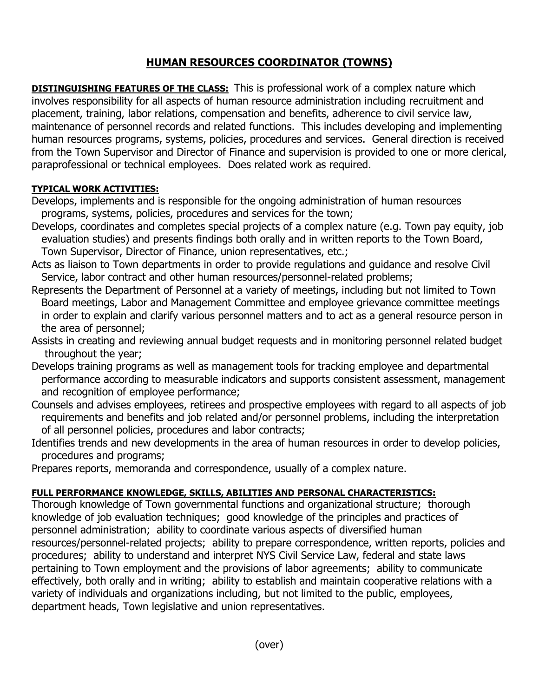## **HUMAN RESOURCES COORDINATOR (TOWNS)**

**DISTINGUISHING FEATURES OF THE CLASS:** This is professional work of a complex nature which involves responsibility for all aspects of human resource administration including recruitment and placement, training, labor relations, compensation and benefits, adherence to civil service law, maintenance of personnel records and related functions. This includes developing and implementing human resources programs, systems, policies, procedures and services. General direction is received from the Town Supervisor and Director of Finance and supervision is provided to one or more clerical, paraprofessional or technical employees. Does related work as required.

## **TYPICAL WORK ACTIVITIES:**

- Develops, implements and is responsible for the ongoing administration of human resources programs, systems, policies, procedures and services for the town;
- Develops, coordinates and completes special projects of a complex nature (e.g. Town pay equity, job evaluation studies) and presents findings both orally and in written reports to the Town Board, Town Supervisor, Director of Finance, union representatives, etc.;
- Acts as liaison to Town departments in order to provide regulations and guidance and resolve Civil Service, labor contract and other human resources/personnel-related problems;
- Represents the Department of Personnel at a variety of meetings, including but not limited to Town Board meetings, Labor and Management Committee and employee grievance committee meetings in order to explain and clarify various personnel matters and to act as a general resource person in the area of personnel;
- Assists in creating and reviewing annual budget requests and in monitoring personnel related budget throughout the year;
- Develops training programs as well as management tools for tracking employee and departmental performance according to measurable indicators and supports consistent assessment, management and recognition of employee performance;
- Counsels and advises employees, retirees and prospective employees with regard to all aspects of job requirements and benefits and job related and/or personnel problems, including the interpretation of all personnel policies, procedures and labor contracts;
- Identifies trends and new developments in the area of human resources in order to develop policies, procedures and programs;
- Prepares reports, memoranda and correspondence, usually of a complex nature.

## **FULL PERFORMANCE KNOWLEDGE, SKILLS, ABILITIES AND PERSONAL CHARACTERISTICS:**

Thorough knowledge of Town governmental functions and organizational structure; thorough knowledge of job evaluation techniques; good knowledge of the principles and practices of personnel administration; ability to coordinate various aspects of diversified human resources/personnel-related projects; ability to prepare correspondence, written reports, policies and procedures; ability to understand and interpret NYS Civil Service Law, federal and state laws pertaining to Town employment and the provisions of labor agreements; ability to communicate effectively, both orally and in writing; ability to establish and maintain cooperative relations with a variety of individuals and organizations including, but not limited to the public, employees, department heads, Town legislative and union representatives.